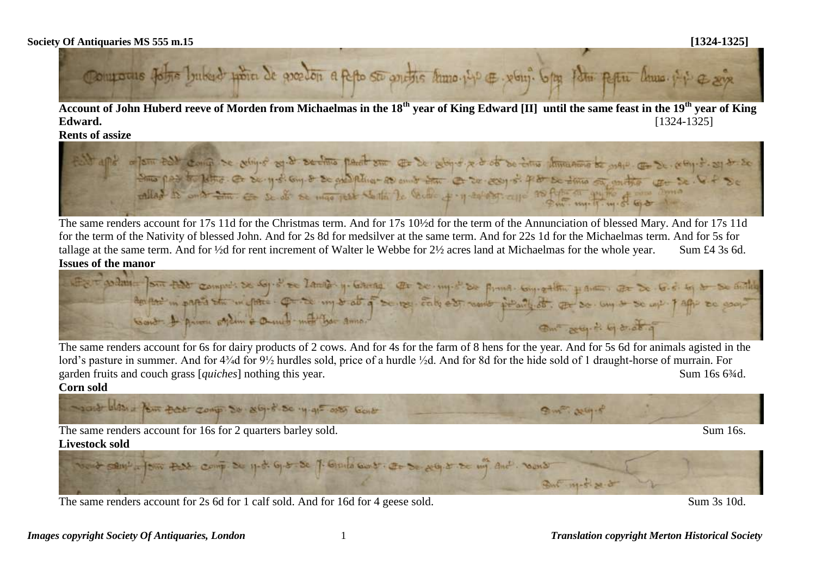

**Account of John Huberd reeve of Morden from Michaelmas in the 18th year of King Edward [II] until the same feast in the 19th year of King Edward.** [1324-1325]

**Rents of assize**



The same renders account for 17s 11d for the Christmas term. And for 17s 10½d for the term of the Annunciation of blessed Mary. And for 17s 11d for the term of the Nativity of blessed John. And for 2s 8d for medsilver at the same term. And for 22s 1d for the Michaelmas term. And for 5s for tallage at the same term. And for ½d for rent increment of Walter le Webbe for 2½ acres land at Michaelmas for the whole year. Sum £4 3s 6d. **Issues of the manor** 

WERE AND TOUT that comprete se say of the lands y lateray at se my of so find convertible y and at so to did to be article and so and the description of the second deposition of the second deposition of the second states o On any digitation

The same renders account for 6s for dairy products of 2 cows. And for 4s for the farm of 8 hens for the year. And for 5s 6d for animals agisted in the lord's pasture in summer. And for 4<sup>3</sup>/<sub>4</sub>d for 9<sup>1</sup>/<sub>2</sub> hurdles sold, price of a hurdle <sup>1</sup>/<sub>2</sub>d. And for 8d for the hide sold of 1 draught-horse of murrain. For garden fruits and couch grass [*quiches*] nothing this year. Sum 16s 6<sup>3</sup>/4d. **Corn sold** 

south with a few part comp. So aby of so y gi- onto Gover 9 m 2015 The same renders account for 16s for 2 quarters barley sold. Sum 16s. **Livestock sold**



The same renders account for 2s 6d for 1 calf sold. And for 16d for 4 geese sold. Sum 3s 10d.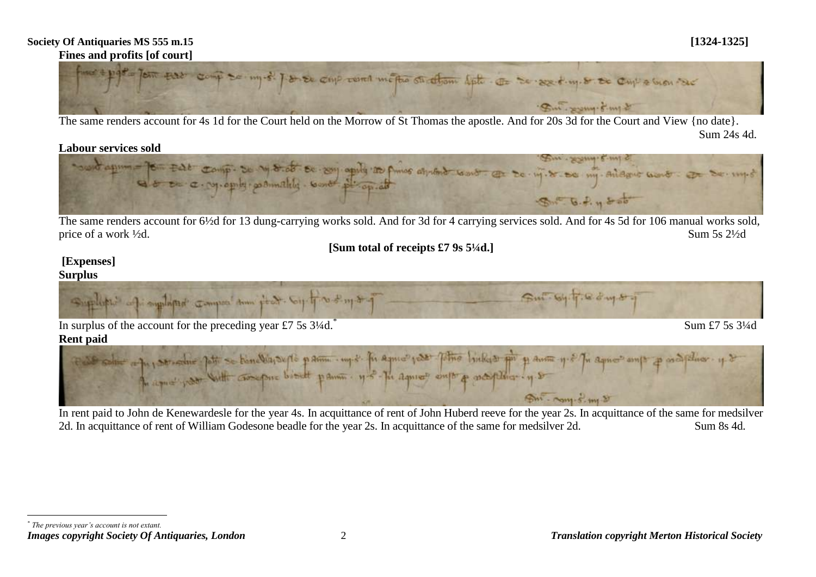## **Society Of Antiquaries MS 555 m.15 [1324-1325] Fines and profits [of court]**



The same renders account for 4s 1d for the Court held on the Morrow of St Thomas the apostle. And for 20s 3d for the Court and View {no date}. Sum 24s 4d.



The same renders account for 6½d for 13 dung-carrying works sold. And for 3d for 4 carrying services sold. And for 4s 5d for 106 manual works sold, price of a work  $\frac{1}{2}d$ . Sum 5s  $\frac{21}{2}d$ 

**[Sum total of receipts £7 9s 5¼d.]**

## **[Expenses] Surplus**

 $\overline{a}$ 



In rent paid to John de Kenewardesle for the year 4s. In acquittance of rent of John Huberd reeve for the year 2s. In acquittance of the same for medsilver 2d. In acquittance of rent of William Godesone beadle for the year 2s. In acquittance of the same for medsilver 2d. Sum 8s 4d.

*Images copyright Society Of Antiquaries, London* 2 *Translation copyright Merton Historical Society \* The previous year's account is not extant.*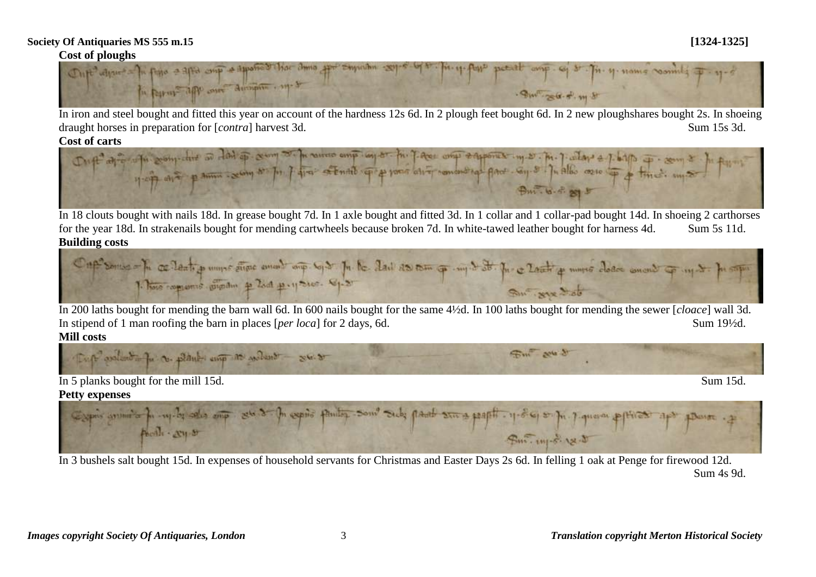

In iron and steel bought and fitted this year on account of the hardness 12s 6d. In 2 plough feet bought 6d. In 2 new ploughshares bought 2s. In shoeing draught horses in preparation for [*contra*] harvest 3d. Sum 15s 3d. Sum 15s 3d.



In 18 clouts bought with nails 18d. In grease bought 7d. In 1 axle bought and fitted 3d. In 1 collar and 1 collar-pad bought 14d. In shoeing 2 carthorses for the year 18d. In strakenails bought for mending cartwheels because broken 7d. In white-tawed leather bought for harness 4d. Sum 5s 11d. **Building costs**



In 200 laths bought for mending the barn wall 6d. In 600 nails bought for the same 4½d. In 100 laths bought for mending the sewer [*cloace*] wall 3d. In stipend of 1 man roofing the barn in places [*per loca*] for 2 days, 6d. Sum 19<sup>1</sup>/2d.

## **Mill costs**





In 3 bushels salt bought 15d. In expenses of household servants for Christmas and Easter Days 2s 6d. In felling 1 oak at Penge for firewood 12d. Sum 4s 9d.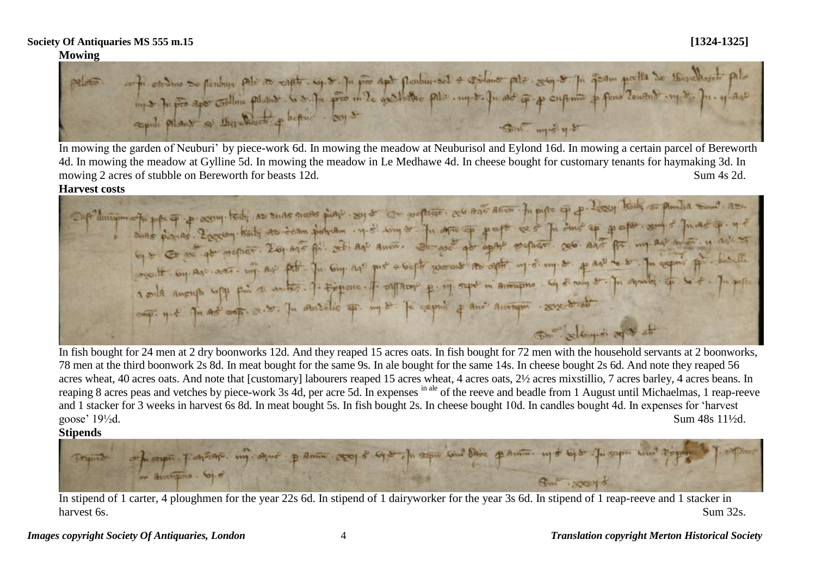## **Mowing**

ontri estativo se pendante polo so capito. eg. so ja por pendantas e estidono polo sego so ja que manda de 1600 devento polo<br>Importante signo continu polonio. La softa por male gashatore polo como fa ad que presidente por Sm. m-248

In mowing the garden of Neuburi' by piece-work 6d. In mowing the meadow at Neuburisol and Eylond 16d. In mowing a certain parcel of Bereworth 4d. In mowing the meadow at Gylline 5d. In mowing the meadow in Le Medhawe 4d. In cheese bought for customary tenants for haymaking 3d. In mowing 2 acres of stubble on Bereworth for beasts 12d. Sum 4s 2d.

Harvest costs<br>
The politic power of the same ted, as sure shorts play say of a softige, as and in pupe of p . Lesy hold as punita some as Suns piones. Esseny trid, as suas signs is super competitive. So that aller in pipe of the day of the sun of Theodop. If of the sun of Theodop. If the state of the state of the state of the state of the state of the state 6) = Co and go method. Explore the company post + begin some to apt my of any or p and w.s. In expire por health Smally in of the

In fish bought for 24 men at 2 dry boonworks 12d. And they reaped 15 acres oats. In fish bought for 72 men with the household servants at 2 boonworks, 78 men at the third boonwork 2s 8d. In meat bought for the same 9s. In ale bought for the same 14s. In cheese bought 2s 6d. And note they reaped 56 acres wheat, 40 acres oats. And note that [customary] labourers reaped 15 acres wheat, 4 acres oats, 2½ acres mixstillio, 7 acres barley, 4 acres beans. In reaping 8 acres peas and vetches by piece-work 3s 4d, per acre 5d. In expenses in ale of the reeve and beadle from 1 August until Michaelmas, 1 reap-reeve and 1 stacker for 3 weeks in harvest 6s 8d. In meat bought 5s. In fish bought 2s. In cheese bought 10d. In candles bought 4d. In expenses for 'harvest goose'  $19\frac{1}{2}d$ . Sum  $48s$   $11\frac{1}{2}d$ .

**Stipends**

ot prospect partient. my agree partie exage of of the age can't base parties up to be prospective exp 1 Auctions. 61  $G_{\rm int}$  .  $22215$ 

In stipend of 1 carter, 4 ploughmen for the year 22s 6d. In stipend of 1 dairyworker for the year 3s 6d. In stipend of 1 reap-reeve and 1 stacker in harvest 6s. Sum 32s.

*Images copyright Society Of Antiquaries, London* 4 *Translation copyright Merton Historical Society*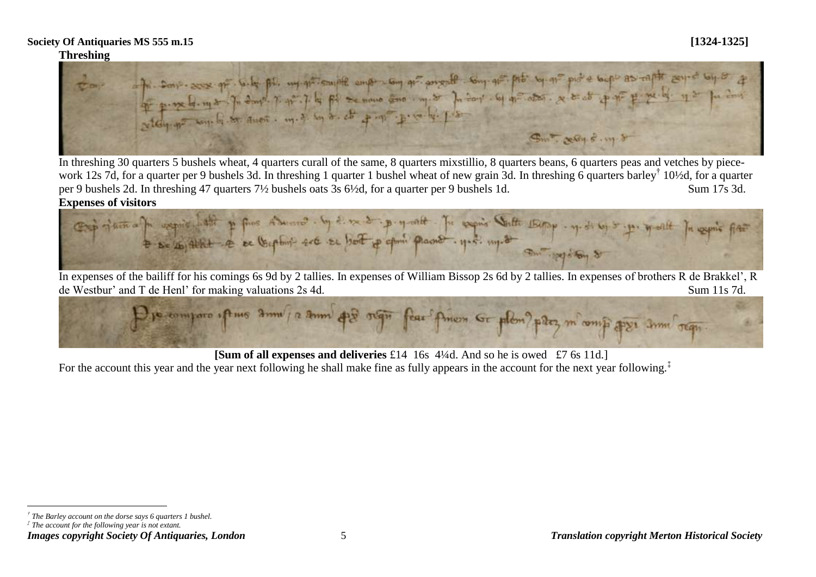## **Threshing**



In threshing 30 quarters 5 bushels wheat, 4 quarters curall of the same, 8 quarters mixstillio, 8 quarters beans, 6 quarters peas and vetches by piecework 12s 7d, for a quarter per 9 bushels 3d. In threshing 1 quarter 1 bushel wheat of new grain 3d. In threshing 6 quarters barley<sup>†</sup> 10½d, for a quarter per 9 bushels 2d. In threshing 47 quarters 7½ bushels oats 3s 6½d, for a quarter per 9 bushels 1d. Sum 17s 3d.





In expenses of the bailiff for his comings 6s 9d by 2 tallies. In expenses of William Bissop 2s 6d by 2 tallies. In expenses of brothers R de Brakkel', R de Westbur' and T de Henl' for making valuations 2s 4d. Sum 11s 7d.



**[Sum of all expenses and deliveries** £14 16s 4¼d. And so he is owed £7.6s 11d.]

For the account this year and the year next following he shall make fine as fully appears in the account for the next year following.<sup>‡</sup>

 $\overline{a}$ *† The Barley account on the dorse says 6 quarters 1 bushel.*

*<sup>‡</sup> The account for the following year is not extant.*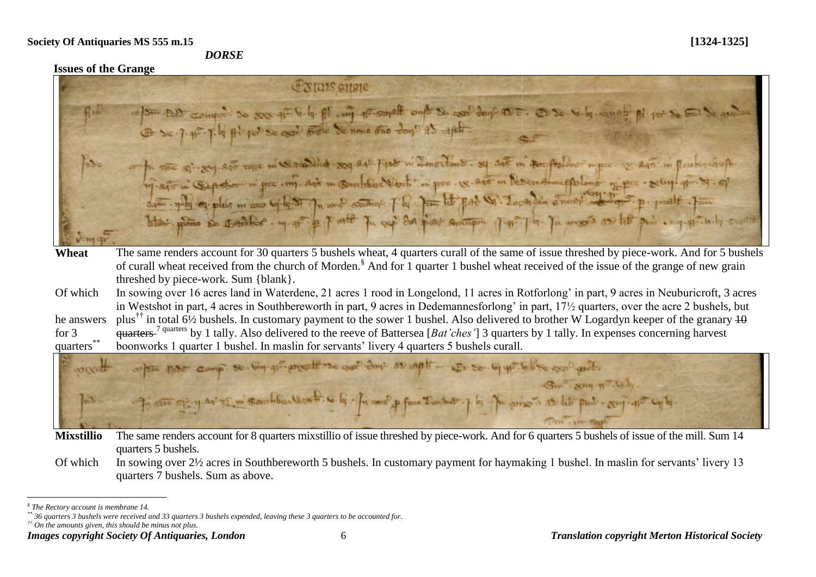### *DORSE*

## **Issues of the Grange**

|            | <i><u>EXITIES gitare</u></i>                                                                                                                                                                                                                                                                                                                                                                                                                                         |
|------------|----------------------------------------------------------------------------------------------------------------------------------------------------------------------------------------------------------------------------------------------------------------------------------------------------------------------------------------------------------------------------------------------------------------------------------------------------------------------|
| ertis      | = /sm test compo so xxx q= 6.4. pt. my prompt ont so cool to p as=. @ so. 6.4. and pl poise So sole                                                                                                                                                                                                                                                                                                                                                                  |
| $n\delta$  | on the suc specific safe tape in continuation as expert port in Zonotions. sq. 245 in to pulmer in port is experiment in planting<br>19. Agr in Supoter in for my. Agr in Suntou Vient in pre. 18. Agr in Decembrine Arland in pre-seley-q-37. of<br>da - y-la eg plus m'ave by le ST Th and station J.B. Jam let pat W. Local din energy of the p. part Jam<br>blow plows to contribe my of a port for expiral surveyor portion por plan on the pair engagements of |
| Wheat      | The same renders account for 30 quarters 5 bushels wheat, 4 quarters curall of the same of issue threshed by piece-work. And for 5 bushels                                                                                                                                                                                                                                                                                                                           |
|            | of curall wheat received from the church of Morden. <sup>§</sup> And for 1 quarter 1 bushel wheat received of the issue of the grange of new grain                                                                                                                                                                                                                                                                                                                   |
|            | threshed by piece-work. Sum {blank}.                                                                                                                                                                                                                                                                                                                                                                                                                                 |
| Of which   | In sowing over 16 acres land in Waterdene, 21 acres 1 rood in Longelond, 11 acres in Rotforlong' in part, 9 acres in Neuburicroft, 3 acres                                                                                                                                                                                                                                                                                                                           |
|            | in Westshot in part, 4 acres in Southbereworth in part, 9 acres in Dedemannesforlong' in part, 17 <sup>1</sup> / <sub>2</sub> quarters, over the acre 2 bushels, but                                                                                                                                                                                                                                                                                                 |
| he answers | plus <sup>††</sup> in total 6½ bushels. In customary payment to the sower 1 bushel. Also delivered to brother W Logardyn keeper of the granary $\frac{10}{10}$                                                                                                                                                                                                                                                                                                       |
| for $3$    | $quarters$ <sup>7 quarters</sup> by 1 tally. Also delivered to the reeve of Battersea [ <i>Bat'ches'</i> ] 3 quarters by 1 tally. In expenses concerning harvest                                                                                                                                                                                                                                                                                                     |
| quarters   | boonworks 1 quarter 1 bushel. In maslin for servants' livery 4 quarters 5 bushels curall.                                                                                                                                                                                                                                                                                                                                                                            |

anyalt the car cont as anti $u \to \infty$ ANEXAN ZN. Zan Ind **CONTACT SNA** 

**Mixstillio** The same renders account for 8 quarters mixstillio of issue threshed by piece-work. And for 6 quarters 5 bushels of issue of the mill. Sum 14 quarters 5 bushels.

Of which In sowing over 2½ acres in Southbereworth 5 bushels. In customary payment for haymaking 1 bushel. In maslin for servants' livery 13 quarters 7 bushels. Sum as above.

*†† On the amounts given, this should be minus not plus.*

 $\overline{a}$ *§ The Rectory account is membrane 14.*

*<sup>\*\*</sup> 36 quarters 3 bushels were received and 33 quarters 3 bushels expended, leaving these 3 quarters to be accounted for.*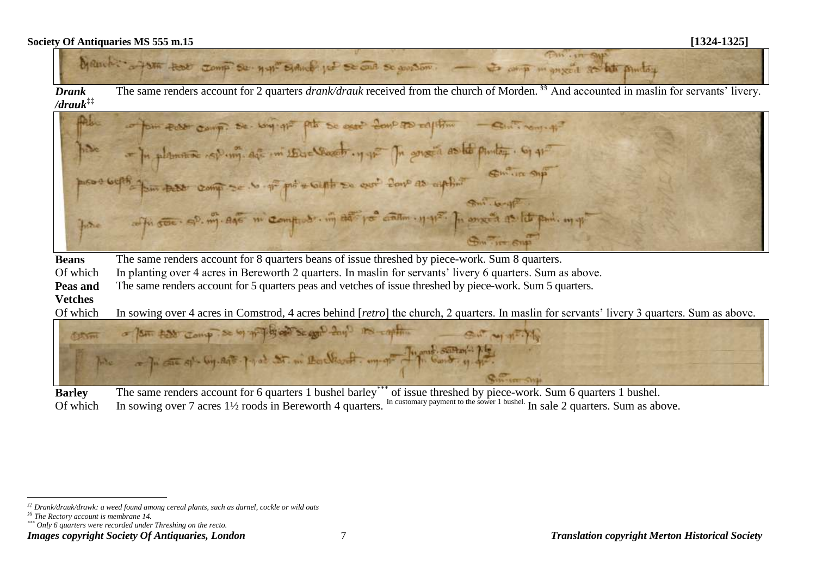

*Drank /drauk***‡‡** The same renders account for 2 quarters *drank/drauk* received from the church of Morden.<sup>§§</sup> And accounted in maslin for servants' livery.

camp: se- why got the se agest 2000 as regular - continents? - In planne sp.m. af in the Coast, y if In grava as to putty. 61 40 Se de préservative en exit four as applies office of my east in complete in det pot other y 112. In once a as lite pain in y  $hinc$ Sum - IT Sup

| <b>Beans</b> | The same renders account for 8 quarters beans of issue threshed by piece-work. Sum 8 quarters.                      |
|--------------|---------------------------------------------------------------------------------------------------------------------|
|              | Of which In planting over 4 acres in Bereworth 2 quarters. In maslin for servants' livery 6 quarters. Sum as above. |
| Peas and     | The same renders account for 5 quarters peas and vetches of issue threshed by piece-work. Sum 5 quarters.           |

**Vetches**

Of which In sowing over 4 acres in Comstrod, 4 acres behind [*retro*] the church, 2 quarters. In maslin for servants' livery 3 quarters. Sum as above.



**Barley** The same renders account for 6 quarters 1 bushel barley\*\*\* of issue threshed by piece-work. Sum 6 quarters 1 bushel. Of which In sowing over 7 acres 1<sup>1</sup>/<sub>2</sub> roods in Bereworth 4 quarters. In customary payment to the sower 1 bushel. In sale 2 quarters. Sum as above.

 $\overline{a}$ 

*\*\*\* Only 6 quarters were recorded under Threshing on the recto.*

*<sup>‡‡</sup> Drank/drauk/drawk: a weed found among cereal plants, such as darnel, cockle or wild oats*

*<sup>§§</sup> The Rectory account is membrane 14.*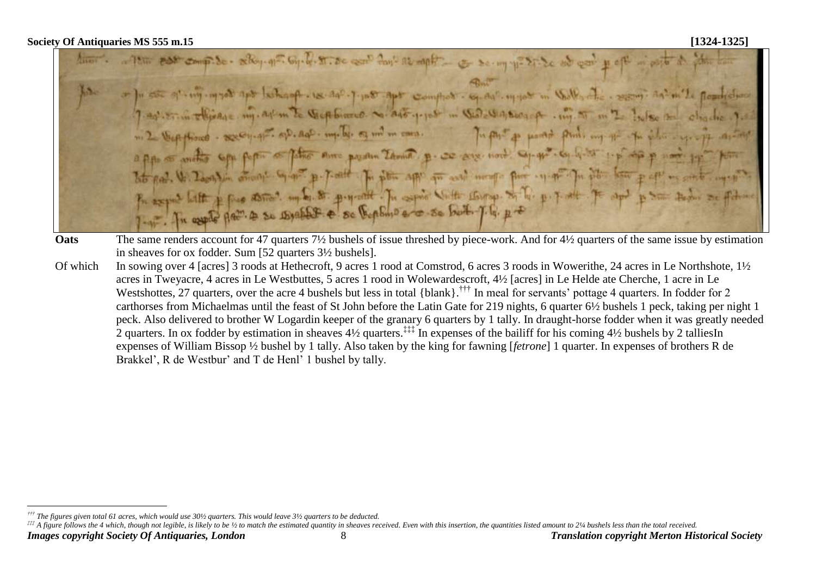por comp. So - selloy. of T. Gy. D. T. De ear for as raph = c so my y = 21. Se od car or for see of my myself apt lethosoft. Is do?- 7. In 5 apt comflict. sq. out my you in Walk, -7-20-27 in Ellisage my. ask in to Verp binered. of ago poper in Viol Wasterge . in the in - 2 Vepplisus - acception of as . mp. b. og mil m can. In file to prove fluit my go a ppo so another sope popular father sure pourtin Zamino, p. co says nort. Sq. q. so said 1. p. sp p nort. Toto pad. W. Docuplin comment by ant p. pade The plan app que and months pure system public Present lette + fine assest under the princet. In expire with the paper of the p. 7 at 7 apr

- **Oats** The same renders account for 47 quarters 7<sup>1</sup>/<sub>2</sub> bushels of issue threshed by piece-work. And for 4<sup>1</sup>/<sub>2</sub> quarters of the same issue by estimation in sheaves for ox fodder. Sum [52 quarters 3½ bushels].
- Of which In sowing over 4 [acres] 3 roods at Hethecroft, 9 acres 1 rood at Comstrod, 6 acres 3 roods in Wowerithe, 24 acres in Le Northshote, 1½ acres in Tweyacre, 4 acres in Le Westbuttes, 5 acres 1 rood in Wolewardescroft, 4½ [acres] in Le Helde ate Cherche, 1 acre in Le Westshottes, 27 quarters, over the acre 4 bushels but less in total {blank}.<sup>†††</sup> In meal for servants' pottage 4 quarters. In fodder for 2 carthorses from Michaelmas until the feast of St John before the Latin Gate for 219 nights, 6 quarter 6½ bushels 1 peck, taking per night 1 peck. Also delivered to brother W Logardin keeper of the granary 6 quarters by 1 tally. In draught-horse fodder when it was greatly needed 2 quarters. In ox fodder by estimation in sheaves  $4\frac{1}{2}$  quarters.<sup> $\ddagger\ddagger\ddagger$ </sup> In expenses of the bailiff for his coming  $4\frac{1}{2}$  bushels by 2 talliesIn expenses of William Bissop ½ bushel by 1 tally. Also taken by the king for fawning [*fetrone*] 1 quarter. In expenses of brothers R de Brakkel', R de Westbur' and T de Henl' 1 bushel by tally.

 $\overline{a}$ *††† The figures given total 61 acres, which would use 30½ quarters. This would leave 3½ quarters to be deducted.*

<sup>##</sup> A figure follows the 4 which, though not legible, is likely to be 1/2 to match the estimated quantity in sheaves received. Even with this insertion, the quantities listed amount to 21/4 bushels less than the total recei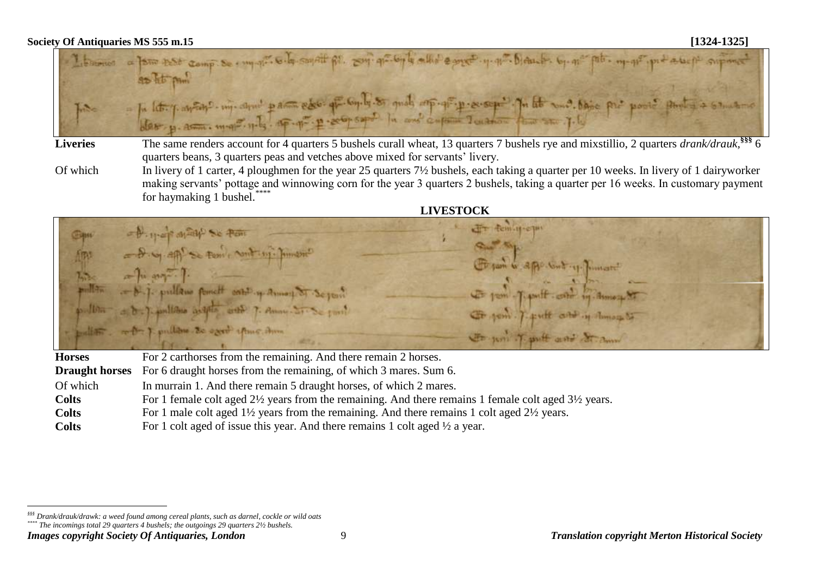

- Liveries The same renders account for 4 quarters 5 bushels curall wheat, 13 quarters 7 bushels rye and mixstillio, 2 quarters *drank/drauk*,<sup>§§§</sup> 6 quarters beans, 3 quarters peas and vetches above mixed for servants' livery.
- Of which In livery of 1 carter, 4 ploughmen for the year 25 quarters 7½ bushels, each taking a quarter per 10 weeks. In livery of 1 dairyworker making servants' pottage and winnowing corn for the year 3 quarters 2 bushels, taking a quarter per 16 weeks. In customary payment for haymaking 1 bushel. $*$



Acin, H-c Se Fem ( Nont ing. pullano functi catil y Annou ST pulless to east this time Str juni 7 unit gent

| <b>Horses</b> | For 2 carthorses from the remaining. And there remain 2 horses.                                                   |
|---------------|-------------------------------------------------------------------------------------------------------------------|
|               | <b>Draught horses</b> For 6 draught horses from the remaining, of which 3 mares. Sum 6.                           |
| Of which      | In murrain 1. And there remain 5 draught horses, of which 2 mares.                                                |
| <b>Colts</b>  | For 1 female colt aged 2½ years from the remaining. And there remains 1 female colt aged 3½ years.                |
| <b>Colts</b>  | For 1 male colt aged $1\frac{1}{2}$ years from the remaining. And there remains 1 colt aged $2\frac{1}{2}$ years. |
| <b>Colts</b>  | For 1 colt aged of issue this year. And there remains 1 colt aged $\frac{1}{2}$ a year.                           |

*Images copyright Society Of Antiquaries, London* 9 *Translation copyright Merton Historical Society*

 $\overline{a}$ 

*<sup>§§§</sup> Drank/drauk/drawk: a weed found among cereal plants, such as darnel, cockle or wild oats*

*<sup>\*\*\*\*</sup> The incomings total 29 quarters 4 bushels; the outgoings 29 quarters 2½ bushels.*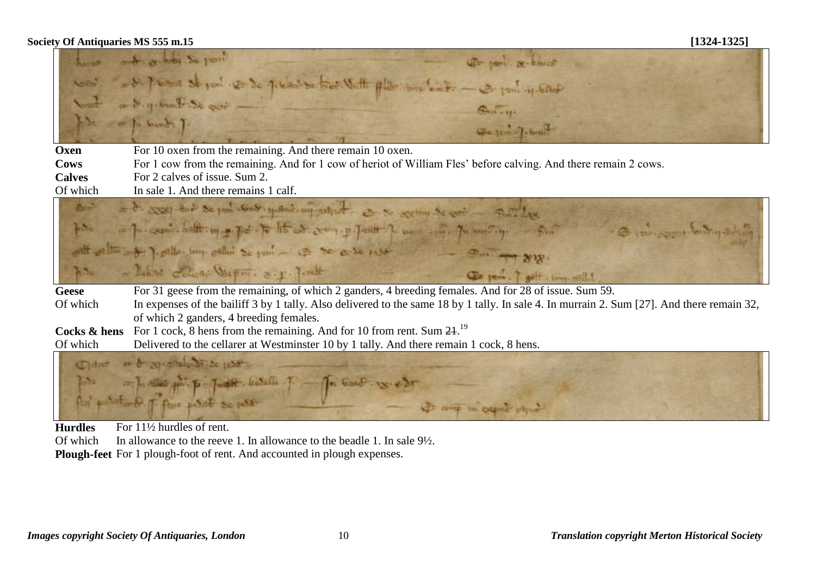|                                                                                        | two + which is you<br>UF joint or bince                                                                                                    |  |
|----------------------------------------------------------------------------------------|--------------------------------------------------------------------------------------------------------------------------------------------|--|
|                                                                                        | Com', - D. P. Come st port - R= 30 g. bind so true. Writte plan: une bind: - is port y both                                                |  |
|                                                                                        | South on 8. y. Gund . St get -<br>$G_{111}$                                                                                                |  |
|                                                                                        | for a for book ].<br>G- 1011-7-6-01                                                                                                        |  |
| Oxen                                                                                   | For 10 oxen from the remaining. And there remain 10 oxen.                                                                                  |  |
| Cows                                                                                   | For 1 cow from the remaining. And for 1 cow of heriot of William Fles' before calving. And there remain 2 cows.                            |  |
| <b>Calves</b>                                                                          | For 2 calves of issue. Sum 2.                                                                                                              |  |
| Of which                                                                               | In sale 1. And there remains 1 calf.                                                                                                       |  |
| Bn <sup>2</sup>                                                                        | in & 2008) And Se por word up and improvement of the second was the cost of the                                                            |  |
| $H^{\text{N}}$                                                                         | - procession halft my port to ht at compart posted to war in promoting. Sur<br>. O process body and                                        |  |
|                                                                                        | ent entiment. I enthal time salled se port - is so a se rest                                                                               |  |
| $h^{2}$                                                                                | There come Vietner & p. Tent<br>Cityem. 7 pet. Comp mills                                                                                  |  |
| <b>Geese</b>                                                                           | For 31 geese from the remaining, of which 2 ganders, 4 breeding females. And for 28 of issue. Sum 59.                                      |  |
| Of which                                                                               | In expenses of the bailiff 3 by 1 tally. Also delivered to the same 18 by 1 tally. In sale 4. In murrain 2. Sum [27]. And there remain 32, |  |
|                                                                                        | of which 2 ganders, 4 breeding females.                                                                                                    |  |
| Cocks & hens                                                                           | For 1 cock, 8 hens from the remaining. And for 10 from rent. Sum $24$ . <sup>19</sup>                                                      |  |
| Of which                                                                               | Delivered to the cellarer at Westminster 10 by 1 tally. And there remain 1 cock, 8 hens.                                                   |  |
|                                                                                        | Other in & an other State 1008                                                                                                             |  |
|                                                                                        |                                                                                                                                            |  |
| par a product point point and the form of the condition of<br>- A comp in expire chine |                                                                                                                                            |  |

**Hurdles** For 11<sup>1</sup>/<sub>2</sub> hurdles of rent.<br>Of which In allowance to the reeve In allowance to the reeve 1. In allowance to the beadle 1. In sale  $9\frac{1}{2}$ . **Plough-feet** For 1 plough-foot of rent. And accounted in plough expenses.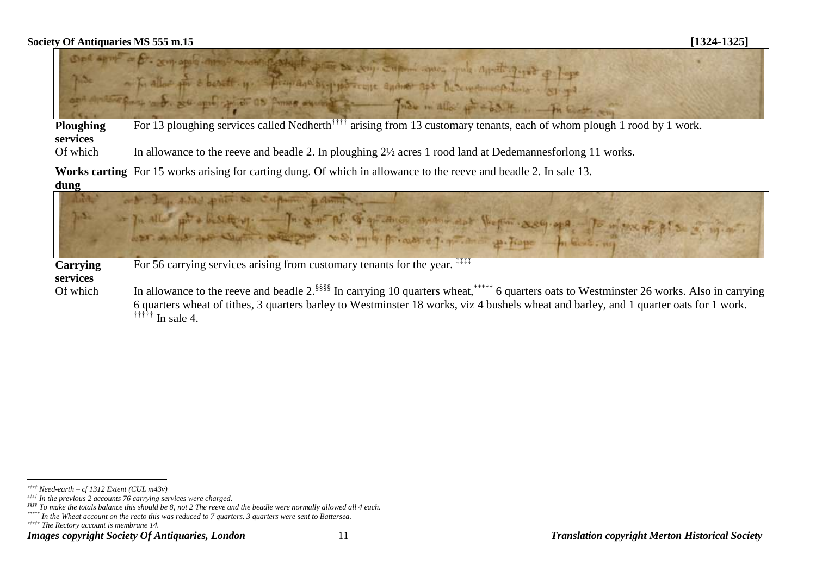

**Ploughing services** For 13 ploughing services called Nedherth<sup>†††††</sup> arising from 13 customary tenants, each of whom plough 1 rood by 1 work.

Of which In allowance to the reeve and beadle 2. In ploughing  $2\frac{1}{2}$  acres 1 rood land at Dedemannesforlong 11 works.

**Works carting**  For 15 works arising for carting dung. Of which in allowance to the reeve and beadle 2. In sale 13.

**dung**



**Carrying services**

For 56 carrying services arising from customary tenants for the year. <sup>‡‡‡‡</sup>

Of which In allowance to the reeve and beadle 2.<sup>§§§§</sup> In carrying 10 quarters wheat, wheat, and the mass of the state and westminster 26 works. Also in carrying 6 quarters wheat of tithes, 3 quarters barley to Westminster 18 works, viz 4 bushels wheat and barley, and 1 quarter oats for 1 work. ††††† In sale 4.

 $\overline{a}$ 

*<sup>††††</sup> Need-earth – cf 1312 Extent (CUL m43v)*

*<sup>‡‡‡‡</sup> In the previous 2 accounts 76 carrying services were charged.*

*<sup>§§§§</sup> To make the totals balance this should be 8, not 2 The reeve and the beadle were normally allowed all 4 each.*

*<sup>\*\*\*\*\*</sup> In the Wheat account on the recto this was reduced to 7 quarters. 3 quarters were sent to Battersea.*

*<sup>†††††</sup> The Rectory account is membrane 14.*